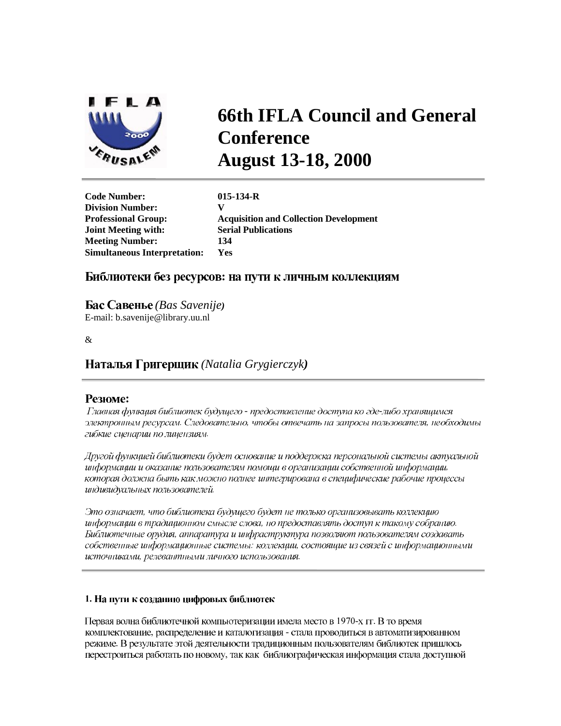

# **66th IFLA Council and General Conference August 13-18, 2000**

**Code Number: 015-134-R Division Number: Joint Meeting with: Serial Publications Meeting Number: 134 Simultaneous Interpretation: Yes** 

**Professional Group: Acquisition and Collection Development** 

# Библиотеки без ресурсов: на пути к личным коллекциям

*(Bas Savenije)* E-mail: b.savenije@library.uu.nl

 $\mathcal{R}$ 

*(Natalia Grygierczyk)*

# **Резюме:**

Главная функция библиотек будущего - предоставление доступа ко где-либо хранящимся электронным ресурсам. Следовательно, чтобы отвечать на запросы пользователя, необходимы гибкие сценарии по лицензиям.

Другой функцией библиотеки будет основание и поддержка персональной системы актуальной информации и оказание пользователям помощи в организации собственной информации, которая должна быть как можно полнее интегрирована в специфические рабочие процессы индивидуальных пользователей.

Это означает, что библиотека будущего будет не только организовывать коллекцию информации в традиционном смысле слова, но предоставлять доступ к такому собранию. Библиотечные орудия, аппаратура и инфраструктура позволяют пользователям создавать собственные информационные системы: коллекции, состоящие из связей с информационными источниками, релевантными личного использования.

## 1. На пути к созданию цифровых библиотек

Первая волна библиотечной компьютеризации имела место в 1970-х гг. В то время комплектование, распределение и каталогизация - стала проводиться в автоматизированном режиме. В результате этой деятельности традиционным пользователям библиотек пришлось перестроиться работать по новому, так как библиографическая информация стала доступной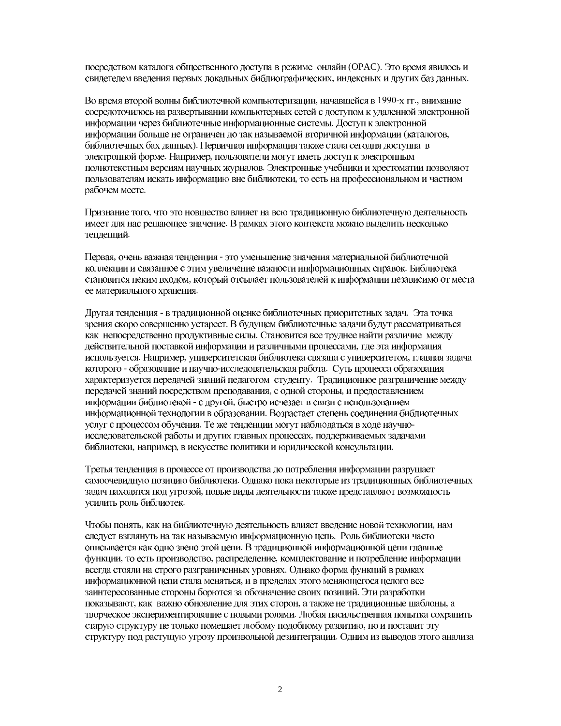посредством каталога общественного доступа в режиме онлайн (ОРАС). Это время явилось и свидетелем введения первых локальных библиографических, индексных и других баз данных.

Во время второй волны библиотечной компьютеризации, начавшейся в 1990-х гг., внимание сосредоточилось на развертывании компьютерных сетей с доступом к удаленной электронной информации через библиотечные информационные системы. Доступ к электронной информации больше не ограничен до так называемой вторичной информации (каталогов, библиотечных бах данных). Первичная информация также стала сегодня доступна в электронной форме. Например, пользователи могут иметь доступ к электронным полнотекстным версиям научных журналов. Электронные учебники и хрестоматии позволяют пользователям искать информацию вне библиотеки, то есть на профессиональном и частном рабочем месте.

Признание того, что это новшество влияет на всю традиционную библиотечную деятельность имеет для нас решающее значение. В рамках этого контекста можно выделить несколько тенденций.

Первая, очень важная тенденция - это уменьшение значения материальной библиотечной коллекции и связанное с этим увеличение важности информационных справок. Библиотека становится неким входом, который отсылает пользователей к информации независимо от места ее материального хранения.

Другая тенденция - в традиционной оценке библиотечных приоритетных задач. Эта точка зрения скоро совершенно устареет. В будущем библиотечные задачи будут рассматриваться как непосредственно продуктивные силы. Становится все труднее найти различие между действительной поставкой информации и различными процессами, где эта информация используется. Например, университетская библиотека связана с университетом, главная задача которого - образование и научно-исследовательская работа. Суть процесса образования характеризуется передачей знаний педагогом студенту. Традиционное разграничение между передачей знаний посредством преподавания, с одной стороны, и предоставлением информации библиотекой - с другой, быстро исчезает в связи с использованием информационной технологии в образовании. Возрастает степень соединения библиотечных услуг с процессом обучения. Те же тенденции могут наблюдаться в ходе научноисследовательской работы и других главных процессах, поддерживаемых задачами библиотеки, например, в искусстве политики и юридической консультации.

Третья тенденция в процессе от производства до потребления информации разрушает самоочевидную позицию библиотеки. Однако пока некоторые из традиционных библиотечных задач находятся под угрозой, новые виды деятельности также представляют возможность усилить роль библиотек.

Чтобы понять, как на библиотечную деятельность влияет введение новой технологии, нам следует взглянуть на так называемую информационную цепь. Роль библиотеки часто описывается как одно звено этой цепи. В традиционной информационной цепи главные функции, то есть производство, распределение, комплектование и потребление информации всегда стояли на строго разграниченных уровнях. Однако форма функций в рамках информационной цепи стала меняться, и в пределах этого меняющегося целого все заинтересованные стороны борются за обозначение своих позиций. Эти разработки показывают, как важно обновление для этих сторон, а также не традиционные шаблоны, а творческое экспериментирование с новыми ролями. Любая насильственная попытка сохранить старую структуру не только помешает любому подобному развитию, но и поставит эту структуру под растущую угрозу произвольной дезинтеграции. Одним из выводов этого анализа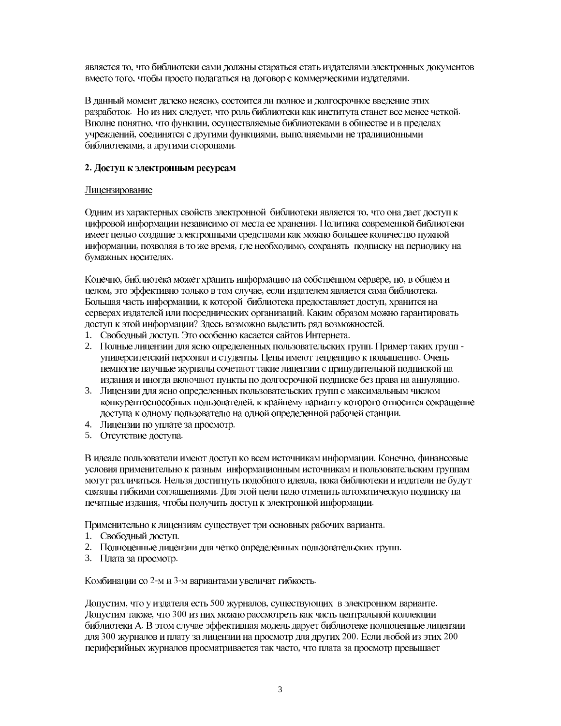является то, что библиотеки сами должны стараться стать издателями электронных документов вместо того, чтобы просто полагаться на договор с коммерческими издателями.

В данный момент далеко неясно, состоится ли полное и долгосрочное введение этих разработок. Но из них следует, что роль библиотеки как института станет все менее четкой. Вполне понятно, что функции, осуществляемые библиотеками в обществе и в пределах учреждений, соединятся с другими функциями, выполняемыми не традиционными библиотеками, а другими сторонами.

## 2. Доступ к электронным ресурсам

## Лицензирование

Одним из характерных свойств электронной библиотеки является то, что она дает доступ к цифровой информации независимо от места ее хранения. Политика современной библиотеки имеет целью создание электронными средствами как можно большее количество нужной информации, позволяя в то же время, где необходимо, сохранять подписку на периодику на бумажных носителях.

Конечно, библиотека может хранить информацию на собственном сервере, но, в общем и целом, это эффективно только в том случае, если издателем является сама библиотека. Большая часть информации, к которой библиотека предоставляет доступ, хранится на серверах издателей или посреднических организаций. Каким образом можно гарантировать доступ к этой информации? Здесь возможно выделить ряд возможностей.

- 1. Свободный доступ. Это особенно касается сайтов Интернета.
- 2. Полные лицензии для ясно определенных пользовательских групп. Пример таких групп университетский персонал и студенты. Цены имеют тенденцию к повышению. Очень немногие научные журналы сочетают такие лицензии с принудительной подпиской на излания и иногла включают пункты по долгосрочной подписке без права на аннуляцию.
- 3. Лицензии для ясно определенных пользовательских групп с максимальным числом конкурентоспособных пользователей, к крайнему варианту которого относится сокращение доступа к одному пользователю на одной определенной рабочей станции.
- 4. Лицензии по уплате за просмотр.
- 5. Отсутствие доступа.

В идеале пользователи имеют доступ ко всем источникам информации. Конечно, финансовые условия применительно к разным информационным источникам и пользовательским группам могут различаться. Нельзя достигнуть подобного идеала, пока библиотеки и издатели не будут связаны гибкими соглашениями. Для этой цели надо отменить автоматическую подписку на печатные издания, чтобы получить доступ к электронной информации.

Применительно к лицензиям существует три основных рабочих варианта.

- 1. Свободный доступ.
- 2. Полноценные лицензии для четко определенных пользовательских групп.
- 3. Плата за просмотр.

Комбинации со 2-м и 3-м вариантами увеличат гибкость.

Допустим, что у издателя есть 500 журналов, существующих в электронном варианте. Допустим также, что 300 из них можно рассмотреть как часть центральной коллекции библиотеки А. В этом случае эффективная модель дарует библиотеке полноценные лицензии для 300 журналов и плату за лицензии на просмотр для других 200. Если любой из этих 200 периферийных журналов просматривается так часто, что плата за просмотр превышает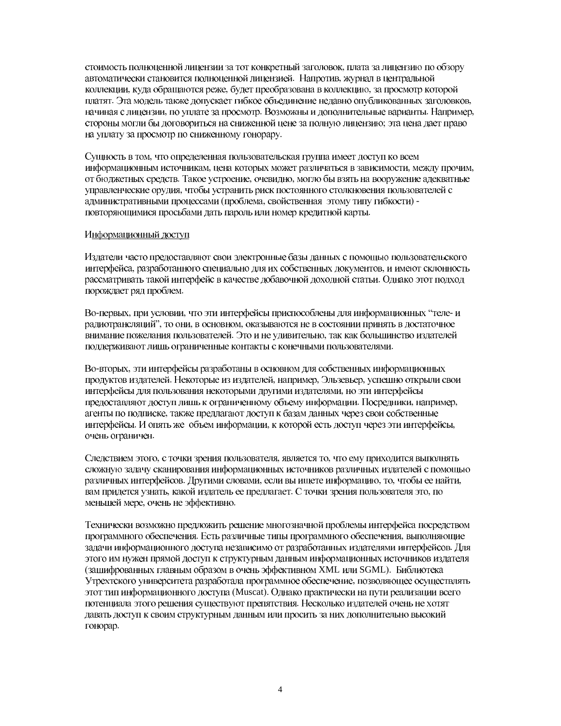стоимость полноценной лицензии за тот конкретный заголовок, плата за лицензию по обзору автоматически становится полноценной лицензией. Напротив, журнал в центральной коллекции, куда обращаются реже, будет преобразована в коллекцию, за просмотр которой платят. Эта модель также допускает гибкое объединение недавно опубликованных заголовков, начиная с лицензии, по уплате за просмотр. Возможны и дополнительные варианты. Например, стороны могли бы договориться на сниженной цене за полную лицензию; эта цена дает право на уплату за просмотр по сниженному гонорару.

Сущность в том, что определенная пользовательская группа имеет доступ ко всем информационным источникам, цена которых может различаться в зависимости, между прочим, от бюджетных средств. Такое устроение, очевидно, могло бы взять на вооружение адекватные управленческие орудия, чтобы устранить риск постоянного столкновения пользователей с административными процессами (проблема, свойственная этому типу гибкости) повторяющимися просьбами дать пароль или номер кредитной карты.

#### Информационный доступ

Издатели часто предоставляют свои электронные базы данных с помощью пользовательского интерфейса, разработанного специально для их собственных документов, и имеют склонность рассматривать такой интерфейс в качестве добавочной доходной статьи. Однако этот подход порождает ряд проблем.

Во-первых, при условии, что эти интерфейсы приспособлены для информационных "теле- и радиотрансляций", то они, в основном, оказываются не в состоянии принять в достаточное внимание пожелания пользователей. Это и не удивительно, так как большинство издателей поддерживают лишь ограниченные контакты с конечными пользователями.

Во-вторых, эти интерфейсы разработаны в основном для собственных информационных продуктов издателей. Некоторые из издателей, например. Эльзевьер, успешно открыли свои интерфейсы для пользования некоторыми другими издателями, но эти интерфейсы предоставляют доступ лишь к ограниченному объему информации. Посредники, например, агенты по подписке, также предлагают доступ к базам данных через свои собственные интерфейсы. И опять же объем информации, к которой есть доступ через эти интерфейсы, очень ограничен.

Следствием этого, с точки зрения пользователя, является то, что ему приходится выполнять сложную задачу сканирования информационных источников различных издателей с помощью различных интерфейсов. Другими словами, если вы ищете информацию, то, чтобы ее найти, вам придется узнать, какой издатель ее предлагает. С точки зрения пользователя это, по меньшей мере, очень не эффективно.

Технически возможно предложить решение многозначной проблемы интерфейса посредством программного обеспечения. Есть различные типы программного обеспечения, выполняющие задачи информационного доступа независимо от разработанных издателями интерфейсов. Для этого им нужен прямой доступ к структурным данным информационных источников издателя (зашифрованных главным образом в очень эффективном XML или SGML). Библиотека Утрехтского университета разработала программное обеспечение, позволяющее осуществлять этот тип информационного доступа (Muscat). Однако практически на пути реализации всего потенциала этого решения существуют препятствия. Несколько издателей очень не хотят давать доступ к своим структурным данным или просить за них дополнительно высокий гонорар.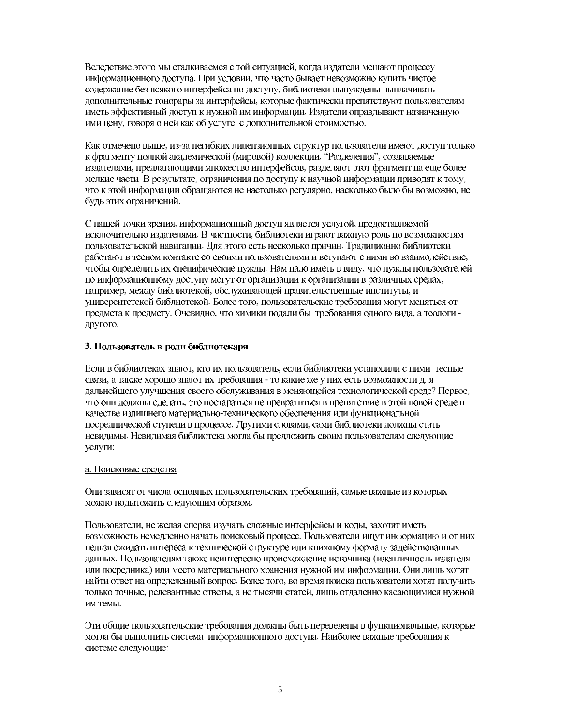Вследствие этого мы сталкиваемся с той ситуацией, когда издатели мешают процессу информационного доступа. При условии, что часто бывает невозможно купить чистое содержание без всякого интерфейса по доступу, библиотеки вынуждены выплачивать дополнительные гонорары за интерфейсы, которые фактически препятствуют пользователям иметь эффективный доступ к нужной им информации. Издатели оправдывают назначенную ими цену, говоря о ней как об услуге с дополнительной стоимостью.

Как отмечено выше, из-за негибких лицензионных структур пользователи имеют доступ только к фрагменту полной академической (мировой) коллекции. "Разделения", создаваемые издателями, предлагающими множество интерфейсов, разделяют этот фрагмент на еще более мелкие части. В результате, ограничения по доступу к научной информации приводят к тому, что к этой информации обращаются не настолько регулярно, насколько было бы возможно, не будь этих ограничений.

С нашей точки зрения, информационный доступ является услугой, предоставляемой исключительно издателями. В частности, библиотеки играют важную роль по возможностям пользовательской навигации. Для этого есть несколько причин. Традиционно библиотеки работают в тесном контакте со своими пользователями и вступают с ними во взаимодействие, чтобы определить их специфические нужды. Нам надо иметь в виду, что нужды пользователей по информационному доступу могут от организации к организации в различных средах, например, между библиотекой, обслуживающей правительственные институты, и университетской библиотекой. Более того, пользовательские требования могут меняться от предмета к предмету. Очевидно, что химики подали бы требования одного вида, а теологи другого.

# 3. Пользователь в роли библиотекаря

Если в библиотеках знают, кто их пользователь, если библиотеки установили с ними тесные связи, а также хорошо знают их требования - то какие же у них есть возможности для дальнейшего улучшения своего обслуживания в меняющейся технологической среде? Первое, что они должны сделать, это постараться не превратиться в препятствие в этой новой среде в качестве излишнего материально-технического обеспечения или функциональной посреднической ступени в процессе. Другими словами, сами библиотеки должны стать невидимы. Невидимая библиотека могла бы предложить своим пользователям следующие услуги:

# а. Поисковые средства

Они зависят от числа основных пользовательских требований, самые важные из которых можно подытожить следующим образом.

Пользователи, не желая сперва изучать сложные интерфейсы и коды, захотят иметь возможность немедленно начать поисковый процесс. Пользователи ишут информацию и от них нельзя ожидать интереса к технической структуре или книжному формату задействованных данных. Пользователям также неинтересно происхождение источника (идентичность издателя или посредника) или место материального хранения нужной им информации. Они лишь хотят найти ответ на определенный вопрос. Более того, во время поиска пользователи хотят получить только точные, релевантные ответы, а не тысячи статей, лишь отдаленно касающимися нужной им темы.

Эти общие пользовательские требования должны быть переведены в функциональные, которые могла бы выполнить система информационного доступа. Наиболее важные требования к системе следующие: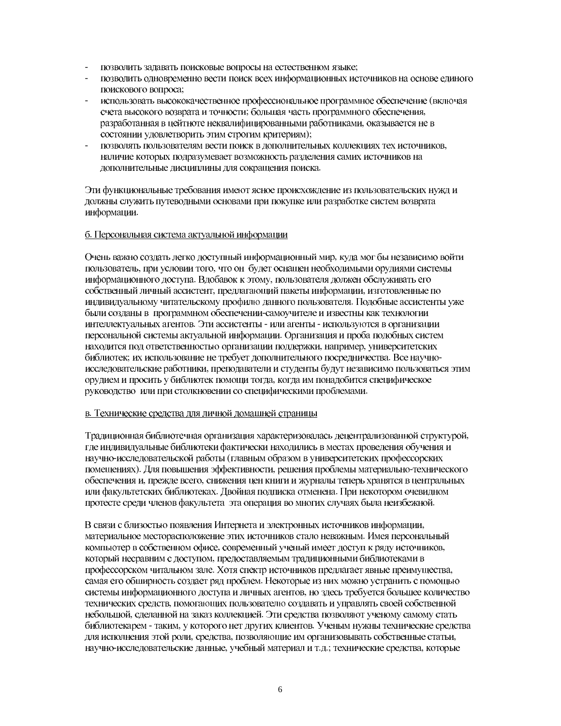- позволить задавать поисковые вопросы на естественном языке;
- позволить одновременно вести поиск всех информационных источников на основе единого поискового вопроса;
- использовать высококачественное профессиональное программное обеспечение (включая счета высокого возврата и точности; большая часть программного обеспечения, разработанная в цейтноте неквалифицированными работниками, оказывается не в состоянии удовлетворить этим строгим критериям);
- позволять пользователям вести поиск в дополнительных коллекциях тех источников, наличие которых подразумевает возможность разделения самих источников на дополнительные дисциплины для сокращения поиска.

Эти функциональные требования имеют ясное происхождение из пользовательских нужд и должны служить путеводными основами при покупке или разработке систем возврата информации.

## б. Персональная система актуальной информации

Очень важно создать легко доступный информационный мир, куда мог бы независимо войти пользователь, при условии того, что он будет оснащен необходимыми орудиями системы информационного доступа. Вдобавок к этому, пользователя должен обслуживать его собственный личный ассистент, предлагающий пакеты информации, изготовленные по индивидуальному читательскому профилю данного пользователя. Подобные ассистенты уже были созданы в программном обеспечении-самоучителе и известны как технологии интеллектуальных агентов. Эти ассистенты - или агенты - используются в организации персональной системы актуальной информации. Организация и проба подобных систем находится под ответственностью организации поддержки, например, университетских библиотек; их использование не требует дополнительного посредничества. Все научноисследовательские работники, преподаватели и студенты будут независимо пользоваться этим орудием и просить у библиотек помощи тогда, когда им понадобится специфическое руководство или при столкновении со специфическими проблемами.

#### в. Технические средства для личной домашней страницы

Традиционная библиотечная организация характеризовалась децентрализованной структурой, где индивидуальные библиотеки фактически находились в местах проведения обучения и научно-исследовательской работы (главным образом в университетских профессорских помещениях). Для повышения эффективности, решения проблемы материально-технического обеспечения и, прежде всего, снижения цен книги и журналы теперь хранятся в центральных или факультетских библиотеках. Двойная подписка отменена. При некотором очевидном протесте среди членов факультета эта операция во многих случаях была неизбежной.

В связи с близостью появления Интернета и электронных источников информации, материальное месторасположение этих источников стало неважным. Имея персональный компьютер в собственном офисе, современный ученый имеет доступ к ряду источников, который несравним с доступом, предоставляемым традиционными библиотеками в профессорском читальном зале. Хотя спектр источников предлагает явные преимущества, самая его обширность создает ряд проблем. Некоторые из них можно устранить с помощью системы информационного доступа и личных агентов, но здесь требуется большее количество технических средств, помогающих пользователю создавать и управлять своей собственной небольшой, сделанной на заказ коллекцией. Эти средства позволяют ученому самому стать библиотекарем - таким, у которого нет других клиентов. Ученым нужны технические средства для исполнения этой роли, средства, позволяющие им организовывать собственные статьи, научно-исследовательские данные, учебный материал и т.д.; технические средства, которые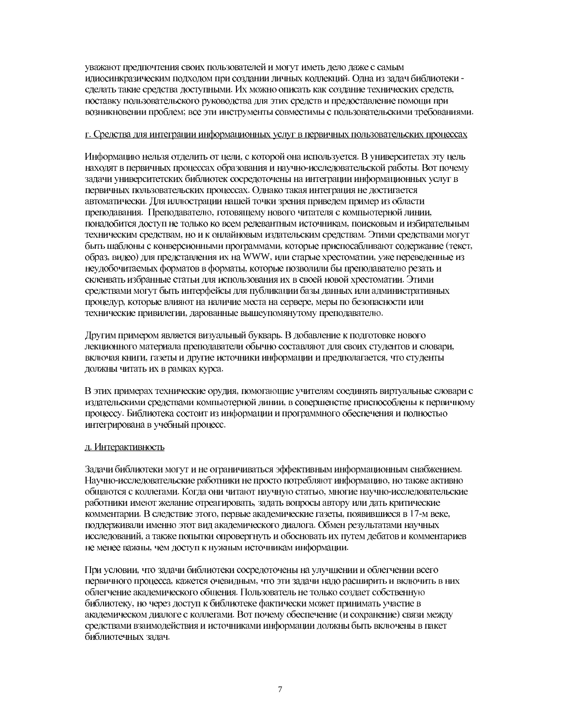уважают предпочтения своих пользователей и могут иметь дело даже с самым идиосинкразическим подходом при создании личных коллекций. Одна из задач библиотеки сделать такие средства доступными. Их можно описать как создание технических средств, поставку пользовательского руководства для этих средств и предоставление помощи при возникновении проблем; все эти инструменты совместимы с пользовательскими требованиями.

## г. Средства для интеграции информационных услуг в первичных пользовательских процессах

Информацию нельзя отделить от цели, с которой она используется. В университетах эту цель находят в первичных процессах образования и научно-исследовательской работы. Вот почему задачи университетских библиотек сосредоточены на интеграции информационных услуг в первичных пользовательских процессах. Однако такая интеграция не достигается автоматически. Для иллюстрации нашей точки зрения приведем пример из области преподавания. Преподавателю, готовящему нового читателя с компьютерной линии, понадобится доступ не только ко всем релевантным источникам, поисковым и избирательным техническим средствам, но и к онлайновым издательским средствам. Этими средствами могут быть шаблоны с конверсионными программами, которые приспосабливают содержание (текст, образ, видео) для представления их на WWW, или старые хрестоматии, уже переведенные из неудобочитаемых форматов в форматы, которые позволили бы преподавателю резать и склеивать избранные статьи для использования их в своей новой хрестоматии. Этими средствами могут быть интерфейсы для публикации базы данных или административных процедур, которые влияют на наличие места на сервере, меры по безопасности или технические привилегии, дарованные вышеупомянутому преподавателю.

Другим примером является визуальный букварь. В добавление к подготовке нового лекционного материала преподаватели обычно составляют для своих студентов и словари, включая книги, газеты и другие источники информации и предполагается, что студенты должны читать их в рамках курса.

В этих примерах технические орудия, помогающие учителям соединять виртуальные словари с издательскими средствами компьютерной линии, в совершенстве приспособлены к первичному процессу. Библиотека состоит из информации и программного обеспечения и полностью интегрирована в учебный процесс.

## д. Интерактивность

Задачи библиотеки могут и не ограничиваться эффективным информационным снабжением. Научно-исследовательские работники не просто потребляют информацию, но также активно общаются с коллегами. Когда они читают научную статью, многие научно-исследовательские работники имеют желание отреагировать, задать вопросы автору или дать критические комментарии. В следствие этого, первые академические газеты, появившиеся в 17-м веке, поддерживали именно этот вид академического диалога. Обмен результатами научных исследований, а также попытки опровергнуть и обосновать их путем дебатов и комментариев не менее важны, чем доступ к нужным источникам информации.

При условии, что задачи библиотеки сосредоточены на улучшении и облегчении всего первичного процесса, кажется очевидным, что эти задачи надо расширить и включить в них облегчение академического общения. Пользователь не только создает собственную библиотеку, но через доступ к библиотеке фактически может принимать участие в академическом диалоге с коллегами. Вот почему обеспечение (и сохранение) связи между средствами взаимодействия и источниками информации должны быть включены в пакет библиотечных задач.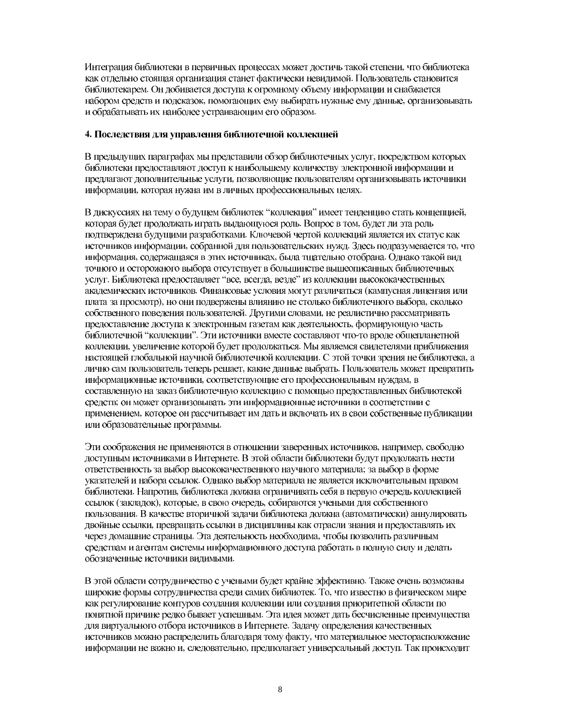Интеграция библиотеки в первичных процессах может достичь такой степени, что библиотека как отдельно стоящая организация станет фактически невидимой. Пользователь становится библиотекарем. Он добивается доступа к огромному объему информации и снабжается набором средств и подсказок, помогающих ему выбирать нужные ему данные, организовывать и обрабатывать их наиболее устраивающим его образом.

## 4. Последствия для управления библиотечной коллекцией

В предыдущих параграфах мы представили обзор библиотечных услуг, посредством которых библиотеки предоставляют доступ к наибольшему количеству электронной информации и предлагают дополнительные услуги, позволяющие пользователям организовывать источники информации, которая нужна им в личных профессиональных целях.

В дискуссиях на тему о будущем библиотек "коллекция" имеет тенденцию стать концепцией, которая будет продолжать играть выдающуюся роль. Вопрос в том, будет ли эта роль подтверждена будущими разработками. Ключевой чертой коллекций является их статус как источников информации, собранной для пользовательских нужд. Здесь подразумевается то, что информация, содержащаяся в этих источниках, была тщательно отобрана. Однако такой вид точного и осторожного выбора отсутствует в большинстве вышеописанных библиотечных услуг. Библиотека предоставляет "все, всегда, везде" из коллекции высококачественных академических источников. Финансовые условия могут различаться (кампусная лицензия или плата за просмотр), но они подвержены влиянию не столько библиотечного выбора, сколько собственного поведения пользователей. Другими словами, не реалистично рассматривать предоставление доступа к электронным газетам как деятельность, формирующую часть библиотечной "коллекции". Эти источники вместе составляют что-то вроде общепланетной коллекции, увеличение которой будет продолжаться. Мы являемся свидетелями приближения настоящей глобальной научной библиотечной коллекции. С этой точки зрения не библиотека, а лично сам пользователь теперь решает, какие данные выбрать. Пользователь может превратить информационные источники, соответствующие его профессиональным нуждам, в составленную на заказ библиотечную коллекцию с помощью предоставленных библиотекой средств; он может организовывать эти информационные источники в соответствии с применением, которое он рассчитывает им дать и включать их в свои собственные публикации или образовательные программы.

Эти соображения не применяются в отношении заверенных источников, например, свободно доступным источниками в Интернете. В этой области библиотеки будут продолжать нести ответственность за выбор высококачественного научного материала; за выбор в форме указателей и набора ссылок. Однако выбор материала не является исключительным правом библиотеки. Напротив, библиотека должна ограничивать себя в первую очередь коллекцией ссылок (закладок), которые, в свою очередь, собираются учеными для собственного пользования. В качестве вторичной задачи библиотека должна (автоматически) аннулировать двойные ссылки, превращать ссылки в дисциплины как отрасли знания и предоставлять их через домашние страницы. Эта деятельность необходима, чтобы позволить различным средствам и агентам системы информационного доступа работать в полную силу и делать обозначенные источники видимыми.

В этой области сотрудничество с учеными будет крайне эффективно. Также очень возможны широкие формы сотрудничества среди самих библиотек. То, что известно в физическом мире как регулирование контуров создания коллекции или создания приоритетной области по понятной причине редко бывает успешным. Эта идея может дать бесчисленные преимущества для виртуального отбора источников в Интернете. Задачу определения качественных источников можно распределить благодаря тому факту, что материальное месторасположение информации не важно и, следовательно, предполагает универсальный доступ. Так происходит